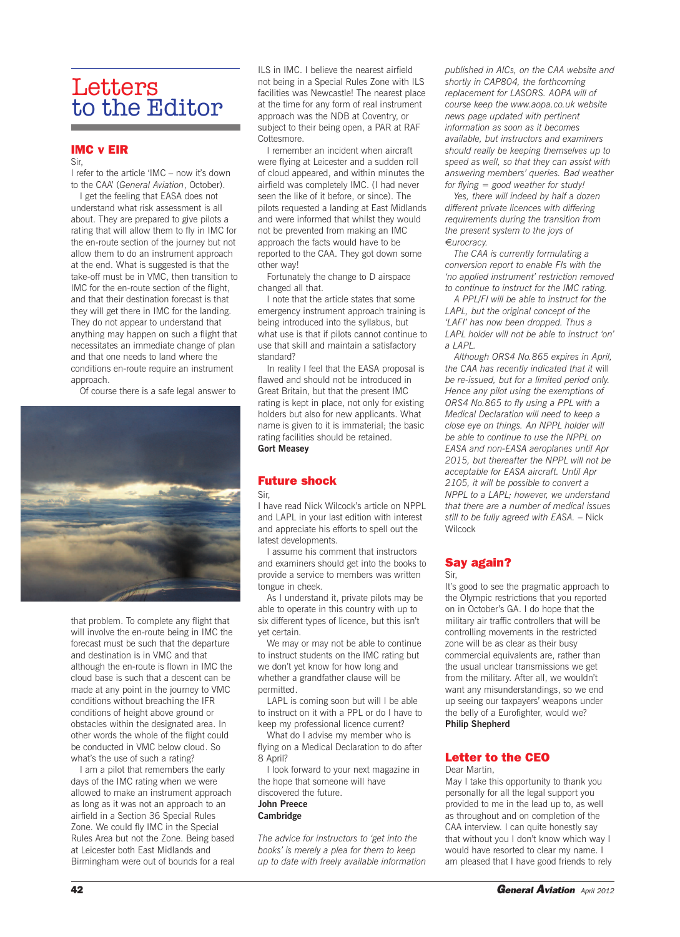# Letters to the Editor

#### **IMC v EIR**

Sir,

I refer to the article 'IMC – now it's down to the CAA' (*General Aviation*, October).

I get the feeling that EASA does not understand what risk assessment is all about. They are prepared to give pilots a rating that will allow them to fly in IMC for the en-route section of the journey but not allow them to do an instrument approach at the end. What is suggested is that the take-off must be in VMC, then transition to IMC for the en-route section of the flight, and that their destination forecast is that they will get there in IMC for the landing. They do not appear to understand that anything may happen on such a flight that necessitates an immediate change of plan and that one needs to land where the conditions en-route require an instrument approach.

Of course there is a safe legal answer to



that problem. To complete any flight that will involve the en-route being in IMC the forecast must be such that the departure and destination is in VMC and that although the en-route is flown in IMC the cloud base is such that a descent can be made at any point in the journey to VMC conditions without breaching the IFR conditions of height above ground or obstacles within the designated area. In other words the whole of the flight could be conducted in VMC below cloud. So what's the use of such a rating?

I am a pilot that remembers the early days of the IMC rating when we were allowed to make an instrument approach as long as it was not an approach to an airfield in a Section 36 Special Rules Zone. We could fly IMC in the Special Rules Area but not the Zone. Being based at Leicester both East Midlands and Birmingham were out of bounds for a real ILS in IMC. I believe the nearest airfield not being in a Special Rules Zone with ILS facilities was Newcastle! The nearest place at the time for any form of real instrument approach was the NDB at Coventry, or subject to their being open, a PAR at RAF Cottesmore.

I remember an incident when aircraft were flying at Leicester and a sudden roll of cloud appeared, and within minutes the airfield was completely IMC. (I had never seen the like of it before, or since). The pilots requested a landing at East Midlands and were informed that whilst they would not be prevented from making an IMC approach the facts would have to be reported to the CAA. They got down some other way!

Fortunately the change to D airspace changed all that.

I note that the article states that some emergency instrument approach training is being introduced into the syllabus, but what use is that if pilots cannot continue to use that skill and maintain a satisfactory standard?

In reality I feel that the EASA proposal is flawed and should not be introduced in Great Britain, but that the present IMC rating is kept in place, not only for existing holders but also for new applicants. What name is given to it is immaterial; the basic rating facilities should be retained. **Gort Measey**

#### **Future shock**

#### Sir,

I have read Nick Wilcock's article on NPPL and LAPL in your last edition with interest and appreciate his efforts to spell out the latest developments.

I assume his comment that instructors and examiners should get into the books to provide a service to members was written tongue in cheek.

As I understand it, private pilots may be able to operate in this country with up to six different types of licence, but this isn't yet certain.

We may or may not be able to continue to instruct students on the IMC rating but we don't yet know for how long and whether a grandfather clause will be permitted.

LAPL is coming soon but will I be able to instruct on it with a PPL or do I have to keep my professional licence current?

What do I advise my member who is flying on a Medical Declaration to do after 8 April?

I look forward to your next magazine in the hope that someone will have discovered the future. **John Preece Cambridge**

*The advice for instructors to 'get into the books' is merely a plea for them to keep up to date with freely available information* *published in AICs, on the CAA website and shortly in CAP804, the forthcoming replacement for LASORS. AOPA will of course keep the www.aopa.co.uk website news page updated with pertinent information as soon as it becomes available, but instructors and examiners should really be keeping themselves up to speed as well, so that they can assist with answering members' queries. Bad weather for flying = good weather for study!*

*Yes, there will indeed by half a dozen different private licences with differing requirements during the transition from the present system to the joys of* €*urocracy.*

*The CAA is currently formulating a conversion report to enable FIs with the 'no applied instrument' restriction removed to continue to instruct for the IMC rating.*

*A PPL/FI will be able to instruct for the LAPL, but the original concept of the 'LAFI' has now been dropped. Thus a LAPL holder will not be able to instruct 'on' a LAPL.*

*Although ORS4 No.865 expires in April, the CAA has recently indicated that it* will *be re-issued, but for a limited period only. Hence any pilot using the exemptions of ORS4 No.865 to fly using a PPL with a Medical Declaration will need to keep a close eye on things. An NPPL holder will be able to continue to use the NPPL on EASA and non-EASA aeroplanes until Apr 2015, but thereafter the NPPL will not be acceptable for EASA aircraft. Until Apr 2105, it will be possible to convert a NPPL to a LAPL; however, we understand that there are a number of medical issues still to be fully agreed with EASA.* – Nick **Wilcock** 

# **Say again?**

Sir,

It's good to see the pragmatic approach to the Olympic restrictions that you reported on in October's GA. I do hope that the military air traffic controllers that will be controlling movements in the restricted zone will be as clear as their busy commercial equivalents are, rather than the usual unclear transmissions we get from the military. After all, we wouldn't want any misunderstandings, so we end up seeing our taxpayers' weapons under the belly of a Eurofighter, would we? **Philip Shepherd**

#### **Letter to the CEO** Dear Martin,

May I take this opportunity to thank you personally for all the legal support you provided to me in the lead up to, as well as throughout and on completion of the CAA interview. I can quite honestly say that without you I don't know which way I would have resorted to clear my name. I am pleased that I have good friends to rely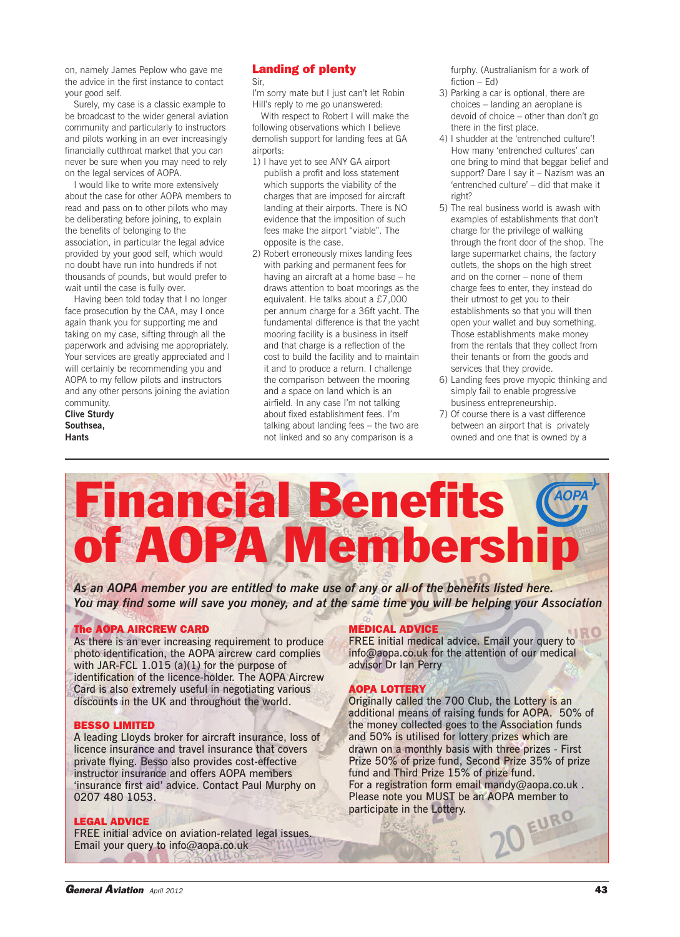on, namely James Peplow who gave me the advice in the first instance to contact your good self.

Surely, my case is a classic example to be broadcast to the wider general aviation community and particularly to instructors and pilots working in an ever increasingly financially cutthroat market that you can never be sure when you may need to rely on the legal services of AOPA.

I would like to write more extensively about the case for other AOPA members to read and pass on to other pilots who may be deliberating before joining, to explain the benefits of belonging to the association, in particular the legal advice provided by your good self, which would no doubt have run into hundreds if not thousands of pounds, but would prefer to wait until the case is fully over.

Having been told today that I no longer face prosecution by the CAA, may I once again thank you for supporting me and taking on my case, sifting through all the paperwork and advising me appropriately. Your services are greatly appreciated and I will certainly be recommending you and AOPA to my fellow pilots and instructors and any other persons joining the aviation community.

**Clive Sturdy Southsea, Hants**

### **Landing of plenty**

Sir,

I'm sorry mate but I just can't let Robin Hill's reply to me go unanswered:

With respect to Robert I will make the following observations which I believe demolish support for landing fees at GA airports:

- 1) I have yet to see ANY GA airport publish a profit and loss statement which supports the viability of the charges that are imposed for aircraft landing at their airports. There is NO evidence that the imposition of such fees make the airport "viable". The opposite is the case.
- 2) Robert erroneously mixes landing fees with parking and permanent fees for having an aircraft at a home base – he draws attention to boat moorings as the equivalent. He talks about a £7,000 per annum charge for a 36ft yacht. The fundamental difference is that the yacht mooring facility is a business in itself and that charge is a reflection of the cost to build the facility and to maintain it and to produce a return. I challenge the comparison between the mooring and a space on land which is an airfield. In any case I'm not talking about fixed establishment fees. I'm talking about landing fees – the two are not linked and so any comparison is a

furphy. (Australianism for a work of fiction – Ed)

- 3) Parking a car is optional, there are choices – landing an aeroplane is devoid of choice – other than don't go there in the first place.
- 4) I shudder at the 'entrenched culture'! How many 'entrenched cultures' can one bring to mind that beggar belief and support? Dare I say it – Nazism was an 'entrenched culture' – did that make it right?
- 5) The real business world is awash with examples of establishments that don't charge for the privilege of walking through the front door of the shop. The large supermarket chains, the factory outlets, the shops on the high street and on the corner – none of them charge fees to enter, they instead do their utmost to get you to their establishments so that you will then open your wallet and buy something. Those establishments make money from the rentals that they collect from their tenants or from the goods and services that they provide.
- 6) Landing fees prove myopic thinking and simply fail to enable progressive business entrepreneurship.
- 7) Of course there is a vast difference between an airport that is privately owned and one that is owned by a

# **Financial Benefits of AOPA Membership** *AOPA*

*As an AOPA member you are entitled to make use of any or all of the benefits listed here.* You may find some will save you money, and at the same time you will be helping your Association

#### **The AOPA AIRCREW CARD**

As there is an ever increasing requirement to produce photo identification, the AOPA aircrew card complies with JAR-FCL 1.015 (a)(1) for the purpose of identification of the licence-holder. The AOPA Aircrew Card is also extremely useful in negotiating various discounts in the UK and throughout the world.

#### **BESSO LIMITED**

A leading Lloyds broker for aircraft insurance, loss of licence insurance and travel insurance that covers private flying. Besso also provides cost-effective instructor insurance and offers AOPA members 'insurance first aid' advice. Contact Paul Murphy on 0207 480 1053.

#### **LEGAL ADVICE**

FREE initial advice on aviation-related legal issues. Email your query to info@aopa.co.uk

#### **MEDICAL ADVICE**

FREE initial medical advice. Email your query to info@aopa.co.uk for the attention of our medical advisor Dr Ian Perry

#### **AOPA LOTTERY**

Originally called the 700 Club, the Lottery is an additional means of raising funds for AOPA. 50% of the money collected goes to the Association funds and 50% is utilised for lottery prizes which are drawn on a monthly basis with three prizes - First Prize 50% of prize fund, Second Prize 35% of prize fund and Third Prize 15% of prize fund. For a registration form email mandy@aopa.co.uk . Please note you MUST be an AOPA member to participate in the Lottery. participate in the Lottery.